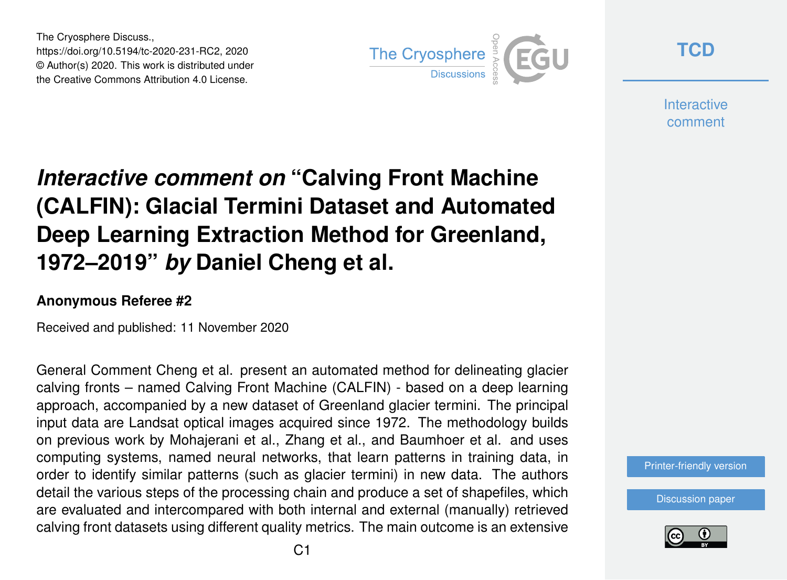The Cryosphere Discuss., https://doi.org/10.5194/tc-2020-231-RC2, 2020 © Author(s) 2020. This work is distributed under the Creative Commons Attribution 4.0 License.



**[TCD](https://tc.copernicus.org/preprints/)**

**Interactive** comment

## *Interactive comment on* **"Calving Front Machine (CALFIN): Glacial Termini Dataset and Automated Deep Learning Extraction Method for Greenland, 1972–2019"** *by* **Daniel Cheng et al.**

## **Anonymous Referee #2**

Received and published: 11 November 2020

General Comment Cheng et al. present an automated method for delineating glacier calving fronts – named Calving Front Machine (CALFIN) - based on a deep learning approach, accompanied by a new dataset of Greenland glacier termini. The principal input data are Landsat optical images acquired since 1972. The methodology builds on previous work by Mohajerani et al., Zhang et al., and Baumhoer et al. and uses computing systems, named neural networks, that learn patterns in training data, in order to identify similar patterns (such as glacier termini) in new data. The authors detail the various steps of the processing chain and produce a set of shapefiles, which are evaluated and intercompared with both internal and external (manually) retrieved calving front datasets using different quality metrics. The main outcome is an extensive

[Printer-friendly version](https://tc.copernicus.org/preprints/tc-2020-231/tc-2020-231-RC2-print.pdf)

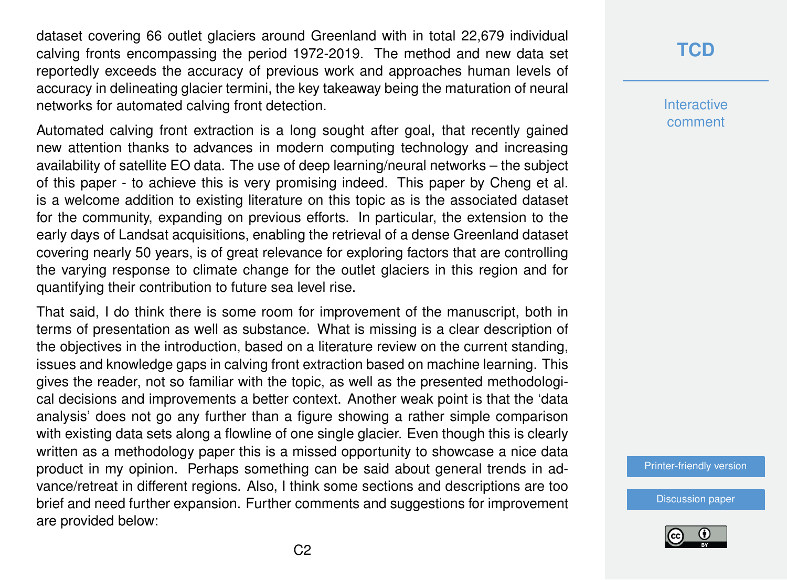dataset covering 66 outlet glaciers around Greenland with in total 22,679 individual calving fronts encompassing the period 1972-2019. The method and new data set reportedly exceeds the accuracy of previous work and approaches human levels of accuracy in delineating glacier termini, the key takeaway being the maturation of neural networks for automated calving front detection.

Automated calving front extraction is a long sought after goal, that recently gained new attention thanks to advances in modern computing technology and increasing availability of satellite EO data. The use of deep learning/neural networks – the subject of this paper - to achieve this is very promising indeed. This paper by Cheng et al. is a welcome addition to existing literature on this topic as is the associated dataset for the community, expanding on previous efforts. In particular, the extension to the early days of Landsat acquisitions, enabling the retrieval of a dense Greenland dataset covering nearly 50 years, is of great relevance for exploring factors that are controlling the varying response to climate change for the outlet glaciers in this region and for quantifying their contribution to future sea level rise.

That said, I do think there is some room for improvement of the manuscript, both in terms of presentation as well as substance. What is missing is a clear description of the objectives in the introduction, based on a literature review on the current standing, issues and knowledge gaps in calving front extraction based on machine learning. This gives the reader, not so familiar with the topic, as well as the presented methodological decisions and improvements a better context. Another weak point is that the 'data analysis' does not go any further than a figure showing a rather simple comparison with existing data sets along a flowline of one single glacier. Even though this is clearly written as a methodology paper this is a missed opportunity to showcase a nice data product in my opinion. Perhaps something can be said about general trends in advance/retreat in different regions. Also, I think some sections and descriptions are too brief and need further expansion. Further comments and suggestions for improvement are provided below:

## **[TCD](https://tc.copernicus.org/preprints/)**

**Interactive** comment

[Printer-friendly version](https://tc.copernicus.org/preprints/tc-2020-231/tc-2020-231-RC2-print.pdf)

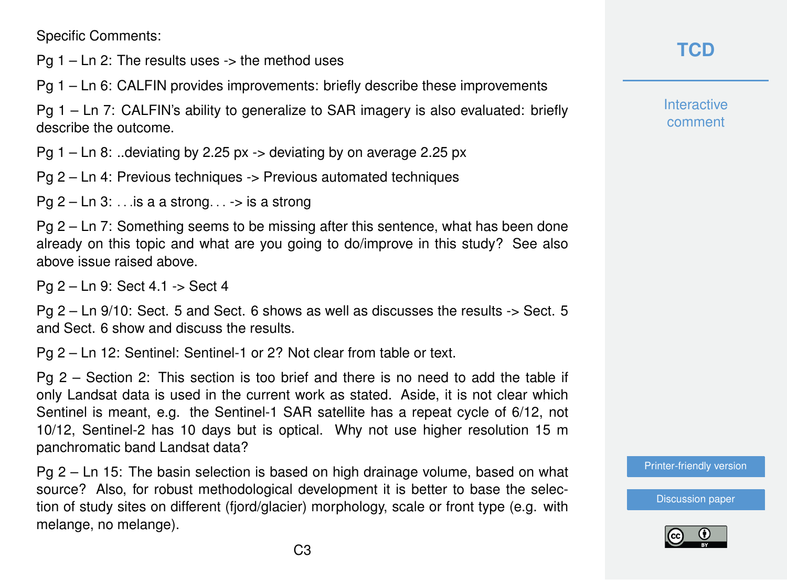Specific Comments:

Pg  $1 - \text{Ln } 2$ : The results uses  $\rightarrow$  the method uses

Pg 1 – Ln 6: CALFIN provides improvements: briefly describe these improvements

Pg 1 – Ln 7: CALFIN's ability to generalize to SAR imagery is also evaluated: briefly describe the outcome.

Pg  $1 - \text{Ln } 8$ : ..deviating by 2.25 px  $\rightarrow$  deviating by on average 2.25 px

Pg 2 – Ln 4: Previous techniques -> Previous automated techniques

Pg  $2 - \text{Ln } 3$ : ... is a a strong...  $\rightarrow$  is a strong

Pg 2 – Ln 7: Something seems to be missing after this sentence, what has been done already on this topic and what are you going to do/improve in this study? See also above issue raised above.

Pg 2 – Ln 9: Sect 4.1 -> Sect 4

Pg 2 – Ln 9/10: Sect. 5 and Sect. 6 shows as well as discusses the results -> Sect. 5 and Sect. 6 show and discuss the results.

Pg 2 – Ln 12: Sentinel: Sentinel-1 or 2? Not clear from table or text.

Pg 2 – Section 2: This section is too brief and there is no need to add the table if only Landsat data is used in the current work as stated. Aside, it is not clear which Sentinel is meant, e.g. the Sentinel-1 SAR satellite has a repeat cycle of 6/12, not 10/12, Sentinel-2 has 10 days but is optical. Why not use higher resolution 15 m panchromatic band Landsat data?

Pg 2 – Ln 15: The basin selection is based on high drainage volume, based on what source? Also, for robust methodological development it is better to base the selection of study sites on different (fjord/glacier) morphology, scale or front type (e.g. with melange, no melange).

**[TCD](https://tc.copernicus.org/preprints/)**

**Interactive** comment

[Printer-friendly version](https://tc.copernicus.org/preprints/tc-2020-231/tc-2020-231-RC2-print.pdf)

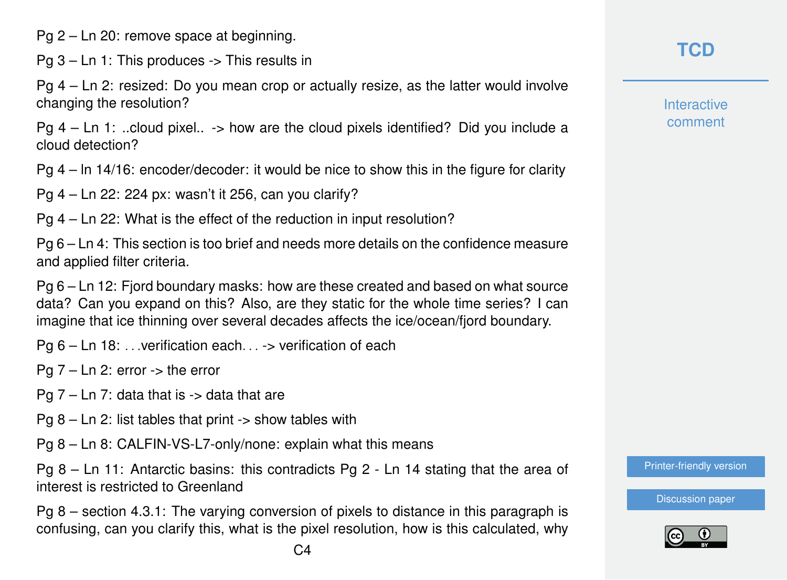Pg 2 – Ln 20: remove space at beginning.

Pg 3 – Ln 1: This produces -> This results in

Pg 4 – Ln 2: resized: Do you mean crop or actually resize, as the latter would involve changing the resolution?

Pg 4 – Ln 1: ..cloud pixel.. -> how are the cloud pixels identified? Did you include a cloud detection?

Pg 4 – ln 14/16: encoder/decoder: it would be nice to show this in the figure for clarity

Pg 4 – Ln 22: 224 px: wasn't it 256, can you clarify?

Pg 4 – Ln 22: What is the effect of the reduction in input resolution?

Pg 6 – Ln 4: This section is too brief and needs more details on the confidence measure and applied filter criteria.

Pg 6 – Ln 12: Fjord boundary masks: how are these created and based on what source data? Can you expand on this? Also, are they static for the whole time series? I can imagine that ice thinning over several decades affects the ice/ocean/fjord boundary.

Pg 6 – Ln 18: ... verification each... -> verification of each

Pg 7 – Ln 2: error -> the error

Pa  $7$  – Ln 7: data that is  $\rightarrow$  data that are

 $Pq 8 - Ln 2$ : list tables that print  $\rightarrow$  show tables with

Pg 8 – Ln 8: CALFIN-VS-L7-only/none: explain what this means

Pg 8 – Ln 11: Antarctic basins: this contradicts Pg 2 - Ln 14 stating that the area of interest is restricted to Greenland

Pg 8 – section 4.3.1: The varying conversion of pixels to distance in this paragraph is confusing, can you clarify this, what is the pixel resolution, how is this calculated, why

**[TCD](https://tc.copernicus.org/preprints/)**

**Interactive** comment

[Printer-friendly version](https://tc.copernicus.org/preprints/tc-2020-231/tc-2020-231-RC2-print.pdf)

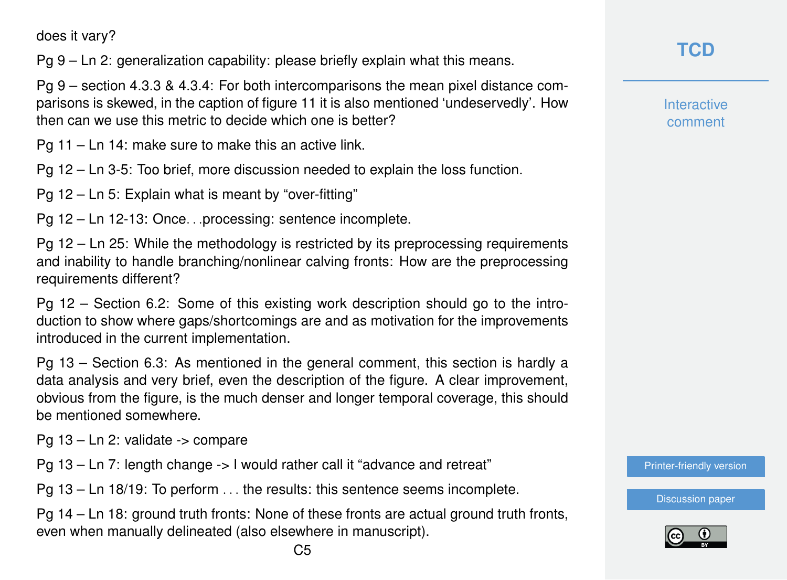does it vary?

Pg 9 – Ln 2: generalization capability: please briefly explain what this means.

Pg 9 – section 4.3.3 & 4.3.4: For both intercomparisons the mean pixel distance comparisons is skewed, in the caption of figure 11 it is also mentioned 'undeservedly'. How then can we use this metric to decide which one is better?

Pg 11 – Ln 14: make sure to make this an active link.

Pg 12 – Ln 3-5: Too brief, more discussion needed to explain the loss function.

Pg 12 – Ln 5: Explain what is meant by "over-fitting"

Pg 12 – Ln 12-13: Once. . .processing: sentence incomplete.

Pg 12 – Ln 25: While the methodology is restricted by its preprocessing requirements and inability to handle branching/nonlinear calving fronts: How are the preprocessing requirements different?

Pg 12 – Section 6.2: Some of this existing work description should go to the introduction to show where gaps/shortcomings are and as motivation for the improvements introduced in the current implementation.

Pg 13 – Section 6.3: As mentioned in the general comment, this section is hardly a data analysis and very brief, even the description of the figure. A clear improvement, obvious from the figure, is the much denser and longer temporal coverage, this should be mentioned somewhere.

Pg 13 – Ln 2: validate -> compare

Pg 13 – Ln 7: length change -> I would rather call it "advance and retreat"

Pg 13 – Ln 18/19: To perform . . . the results: this sentence seems incomplete.

Pg 14 – Ln 18: ground truth fronts: None of these fronts are actual ground truth fronts, even when manually delineated (also elsewhere in manuscript).

**Interactive** comment

[Printer-friendly version](https://tc.copernicus.org/preprints/tc-2020-231/tc-2020-231-RC2-print.pdf)